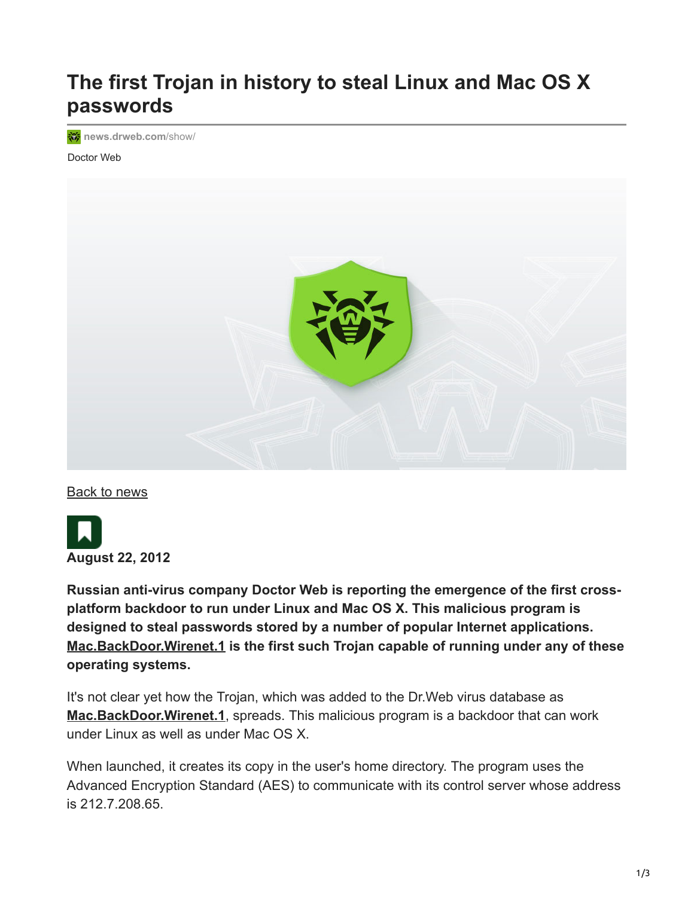## **The first Trojan in history to steal Linux and Mac OS X passwords**

**移** [news.drweb.com](https://news.drweb.com/show/?i=2679&lng=en&c=14)/show/

Doctor Web



[Back to news](https://news.drweb.com/list/?p=0&lng=en&c=5)



**Russian anti-virus company Doctor Web is reporting the emergence of the first crossplatform backdoor to run under Linux and Mac OS X. This malicious program is designed to steal passwords stored by a number of popular Internet applications. [Mac.BackDoor.Wirenet.1](https://vms.drweb.com/search/?q=Mac.BackDoor.Wirenet.1&lng=en) is the first such Trojan capable of running under any of these operating systems.**

It's not clear yet how the Trojan, which was added to the Dr.Web virus database as **[Mac.BackDoor.Wirenet.1](https://vms.drweb.com/search/?q=Mac.BackDoor.Wirenet.1&lng=en)**, spreads. This malicious program is a backdoor that can work under Linux as well as under Mac OS X.

When launched, it creates its copy in the user's home directory. The program uses the Advanced Encryption Standard (AES) to communicate with its control server whose address is 212.7.208.65.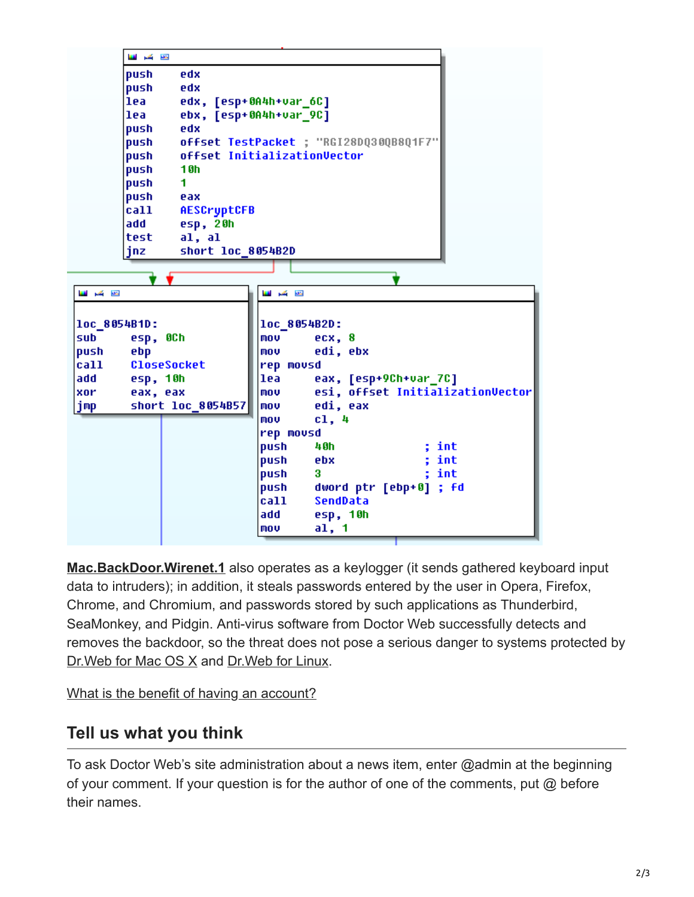

**[Mac.BackDoor.Wirenet.1](https://vms.drweb.com/search/?q=Mac.BackDoor.Wirenet.1&lng=en)** also operates as a keylogger (it sends gathered keyboard input data to intruders); in addition, it steals passwords entered by the user in Opera, Firefox, Chrome, and Chromium, and passwords stored by such applications as Thunderbird, SeaMonkey, and Pidgin. Anti-virus software from Doctor Web successfully detects and removes the backdoor, so the threat does not pose a serious danger to systems protected by [Dr.Web for Mac OS X](https://products.drweb.com/mac/?lng=en) and [Dr.Web for Linux.](https://products.drweb.com/linux/?lng=en)

[What is the benefit of having an account?](https://www.drweb.com/user/advantages/?lng=en)

## **Tell us what you think**

To ask Doctor Web's site administration about a news item, enter @admin at the beginning of your comment. If your question is for the author of one of the comments, put @ before their names.